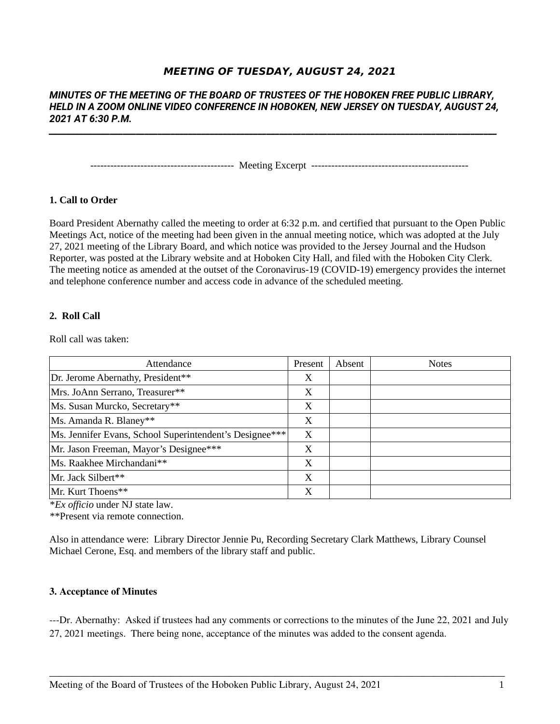# **MEETING OF TUESDAY, AUGUST 24, 2021**

## *MINUTES OF THE MEETING OF THE BOARD OF TRUSTEES OF THE HOBOKEN FREE PUBLIC LIBRARY, HELD IN A ZOOM ONLINE VIDEO CONFERENCE IN HOBOKEN, NEW JERSEY ON TUESDAY, AUGUST 24, 2021 AT 6:30 P.M.*

*\_\_\_\_\_\_\_\_\_\_\_\_\_\_\_\_\_\_\_\_\_\_\_\_\_\_\_\_\_\_\_\_\_\_\_\_\_\_\_\_\_\_\_\_\_\_\_\_\_\_\_\_\_\_\_\_\_\_\_\_\_\_\_\_\_\_\_\_\_\_\_\_\_\_\_\_\_\_\_\_\_\_\_\_\_\_\_\_\_\_\_\_\_\_\_\_\_\_\_\_\_\_\_*

------------------------------------------- Meeting Excerpt -----------------------------------------------

## **1. Call to Order**

Board President Abernathy called the meeting to order at 6:32 p.m. and certified that pursuant to the Open Public Meetings Act, notice of the meeting had been given in the annual meeting notice, which was adopted at the July 27, 2021 meeting of the Library Board, and which notice was provided to the Jersey Journal and the Hudson Reporter, was posted at the Library website and at Hoboken City Hall, and filed with the Hoboken City Clerk. The meeting notice as amended at the outset of the Coronavirus-19 (COVID-19) emergency provides the internet and telephone conference number and access code in advance of the scheduled meeting.

### **2. Roll Call**

Roll call was taken:

| Attendance                                              | Present | Absent | <b>Notes</b> |
|---------------------------------------------------------|---------|--------|--------------|
| Dr. Jerome Abernathy, President**                       | X       |        |              |
| Mrs. JoAnn Serrano, Treasurer**                         | X       |        |              |
| Ms. Susan Murcko, Secretary**                           | X       |        |              |
| Ms. Amanda R. Blaney**                                  | X       |        |              |
| Ms. Jennifer Evans, School Superintendent's Designee*** | X       |        |              |
| Mr. Jason Freeman, Mayor's Designee***                  | X       |        |              |
| Ms. Raakhee Mirchandani**                               | X       |        |              |
| Mr. Jack Silbert**                                      | X       |        |              |
| Mr. Kurt Thoens**                                       | X       |        |              |

\**Ex officio* under NJ state law.

\*\*Present via remote connection.

Also in attendance were: Library Director Jennie Pu, Recording Secretary Clark Matthews, Library Counsel Michael Cerone, Esq. and members of the library staff and public.

## **3. Acceptance of Minutes**

---Dr. Abernathy: Asked if trustees had any comments or corrections to the minutes of the June 22, 2021 and July 27, 2021 meetings. There being none, acceptance of the minutes was added to the consent agenda.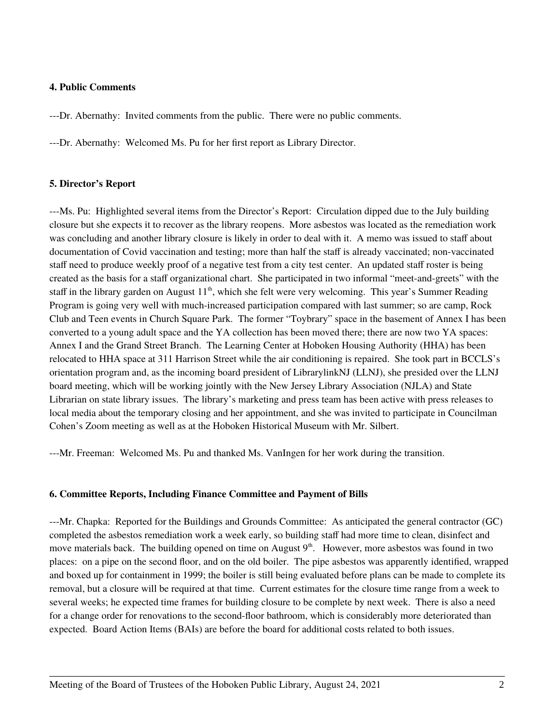## **4. Public Comments**

---Dr. Abernathy: Invited comments from the public. There were no public comments.

---Dr. Abernathy: Welcomed Ms. Pu for her first report as Library Director.

## **5. Director's Report**

---Ms. Pu: Highlighted several items from the Director's Report: Circulation dipped due to the July building closure but she expects it to recover as the library reopens. More asbestos was located as the remediation work was concluding and another library closure is likely in order to deal with it. A memo was issued to staff about documentation of Covid vaccination and testing; more than half the staff is already vaccinated; non-vaccinated staff need to produce weekly proof of a negative test from a city test center. An updated staff roster is being created as the basis for a staff organizational chart. She participated in two informal "meet-and-greets" with the staff in the library garden on August  $11<sup>th</sup>$ , which she felt were very welcoming. This year's Summer Reading Program is going very well with much-increased participation compared with last summer; so are camp, Rock Club and Teen events in Church Square Park. The former "Toybrary" space in the basement of Annex I has been converted to a young adult space and the YA collection has been moved there; there are now two YA spaces: Annex I and the Grand Street Branch. The Learning Center at Hoboken Housing Authority (HHA) has been relocated to HHA space at 311 Harrison Street while the air conditioning is repaired. She took part in BCCLS's orientation program and, as the incoming board president of LibrarylinkNJ (LLNJ), she presided over the LLNJ board meeting, which will be working jointly with the New Jersey Library Association (NJLA) and State Librarian on state library issues. The library's marketing and press team has been active with press releases to local media about the temporary closing and her appointment, and she was invited to participate in Councilman Cohen's Zoom meeting as well as at the Hoboken Historical Museum with Mr. Silbert.

---Mr. Freeman: Welcomed Ms. Pu and thanked Ms. VanIngen for her work during the transition.

## **6. Committee Reports, Including Finance Committee and Payment of Bills**

---Mr. Chapka: Reported for the Buildings and Grounds Committee: As anticipated the general contractor (GC) completed the asbestos remediation work a week early, so building staff had more time to clean, disinfect and move materials back. The building opened on time on August  $9<sup>th</sup>$ . However, more asbestos was found in two places: on a pipe on the second floor, and on the old boiler. The pipe asbestos was apparently identified, wrapped and boxed up for containment in 1999; the boiler is still being evaluated before plans can be made to complete its removal, but a closure will be required at that time. Current estimates for the closure time range from a week to several weeks; he expected time frames for building closure to be complete by next week. There is also a need for a change order for renovations to the second-floor bathroom, which is considerably more deteriorated than expected. Board Action Items (BAIs) are before the board for additional costs related to both issues.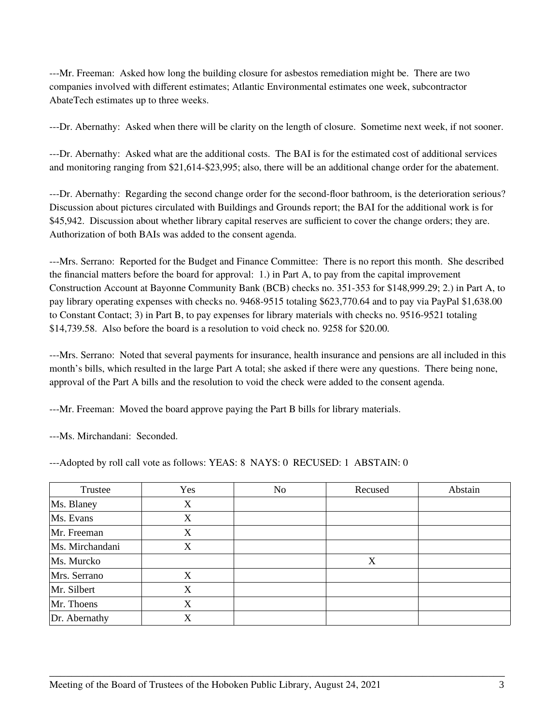---Mr. Freeman: Asked how long the building closure for asbestos remediation might be. There are two companies involved with different estimates; Atlantic Environmental estimates one week, subcontractor AbateTech estimates up to three weeks.

---Dr. Abernathy: Asked when there will be clarity on the length of closure. Sometime next week, if not sooner.

---Dr. Abernathy: Asked what are the additional costs. The BAI is for the estimated cost of additional services and monitoring ranging from \$21,614-\$23,995; also, there will be an additional change order for the abatement.

---Dr. Abernathy: Regarding the second change order for the second-floor bathroom, is the deterioration serious? Discussion about pictures circulated with Buildings and Grounds report; the BAI for the additional work is for \$45,942. Discussion about whether library capital reserves are sufficient to cover the change orders; they are. Authorization of both BAIs was added to the consent agenda.

---Mrs. Serrano: Reported for the Budget and Finance Committee: There is no report this month. She described the financial matters before the board for approval: 1.) in Part A, to pay from the capital improvement Construction Account at Bayonne Community Bank (BCB) checks no. 351-353 for \$148,999.29; 2.) in Part A, to pay library operating expenses with checks no. 9468-9515 totaling \$623,770.64 and to pay via PayPal \$1,638.00 to Constant Contact; 3) in Part B, to pay expenses for library materials with checks no. 9516-9521 totaling \$14,739.58. Also before the board is a resolution to void check no. 9258 for \$20.00.

---Mrs. Serrano: Noted that several payments for insurance, health insurance and pensions are all included in this month's bills, which resulted in the large Part A total; she asked if there were any questions. There being none, approval of the Part A bills and the resolution to void the check were added to the consent agenda.

---Mr. Freeman: Moved the board approve paying the Part B bills for library materials.

---Ms. Mirchandani: Seconded.

---Adopted by roll call vote as follows: YEAS: 8 NAYS: 0 RECUSED: 1 ABSTAIN: 0

| Trustee         | Yes | No | Recused | Abstain |
|-----------------|-----|----|---------|---------|
| Ms. Blaney      | X   |    |         |         |
| Ms. Evans       | X   |    |         |         |
| Mr. Freeman     | X   |    |         |         |
| Ms. Mirchandani | X   |    |         |         |
| Ms. Murcko      |     |    | X       |         |
| Mrs. Serrano    | X   |    |         |         |
| Mr. Silbert     | X   |    |         |         |
| Mr. Thoens      | X   |    |         |         |
| Dr. Abernathy   | X   |    |         |         |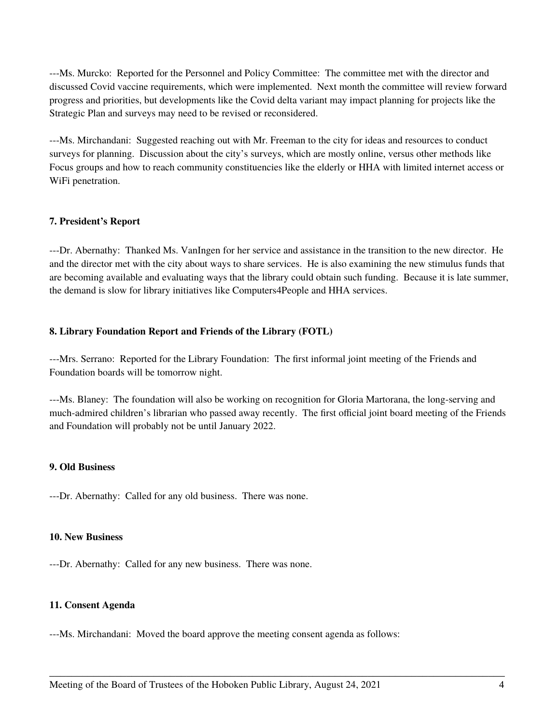---Ms. Murcko: Reported for the Personnel and Policy Committee: The committee met with the director and discussed Covid vaccine requirements, which were implemented. Next month the committee will review forward progress and priorities, but developments like the Covid delta variant may impact planning for projects like the Strategic Plan and surveys may need to be revised or reconsidered.

---Ms. Mirchandani: Suggested reaching out with Mr. Freeman to the city for ideas and resources to conduct surveys for planning. Discussion about the city's surveys, which are mostly online, versus other methods like Focus groups and how to reach community constituencies like the elderly or HHA with limited internet access or WiFi penetration.

#### **7. President's Report**

---Dr. Abernathy: Thanked Ms. VanIngen for her service and assistance in the transition to the new director. He and the director met with the city about ways to share services. He is also examining the new stimulus funds that are becoming available and evaluating ways that the library could obtain such funding. Because it is late summer, the demand is slow for library initiatives like Computers4People and HHA services.

## **8. Library Foundation Report and Friends of the Library (FOTL)**

---Mrs. Serrano: Reported for the Library Foundation: The first informal joint meeting of the Friends and Foundation boards will be tomorrow night.

---Ms. Blaney: The foundation will also be working on recognition for Gloria Martorana, the long-serving and much-admired children's librarian who passed away recently. The first official joint board meeting of the Friends and Foundation will probably not be until January 2022.

\_\_\_\_\_\_\_\_\_\_\_\_\_\_\_\_\_\_\_\_\_\_\_\_\_\_\_\_\_\_\_\_\_\_\_\_\_\_\_\_\_\_\_\_\_\_\_\_\_\_\_\_\_\_\_\_\_\_\_\_\_\_\_\_\_\_\_\_\_\_\_\_\_\_\_\_\_\_\_\_\_\_\_

## **9. Old Business**

---Dr. Abernathy: Called for any old business. There was none.

#### **10. New Business**

---Dr. Abernathy: Called for any new business. There was none.

#### **11. Consent Agenda**

---Ms. Mirchandani: Moved the board approve the meeting consent agenda as follows: